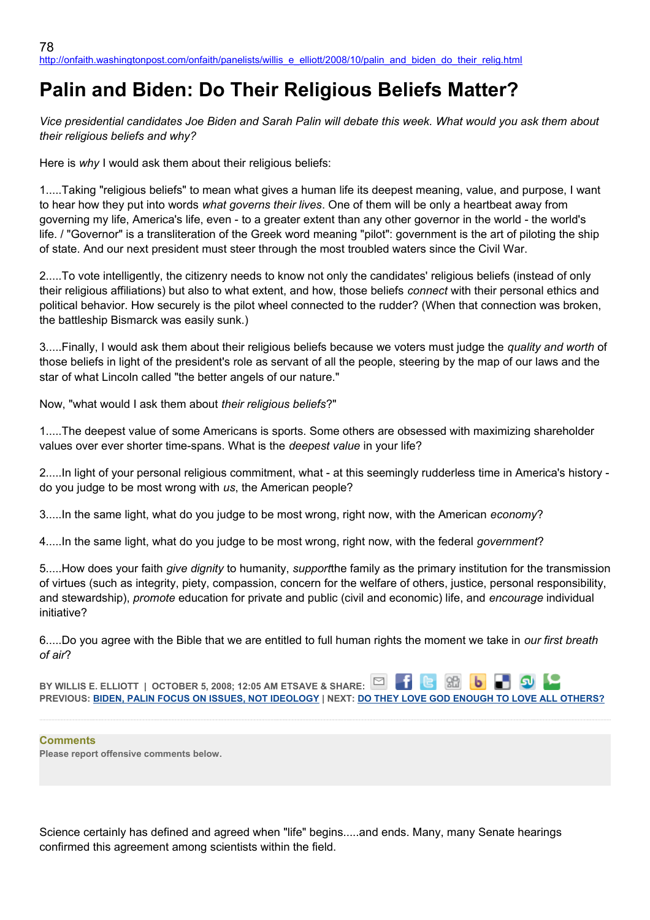# **Palin and Biden: Do Their Religious Beliefs Matter?**

*Vice presidential candidates Joe Biden and Sarah Palin will debate this week. What would you ask them about their religious beliefs and why?*

Here is *why* I would ask them about their religious beliefs:

1.....Taking "religious beliefs" to mean what gives a human life its deepest meaning, value, and purpose, I want to hear how they put into words *what governs their lives*. One of them will be only a heartbeat away from governing my life, America's life, even - to a greater extent than any other governor in the world - the world's life. / "Governor" is a transliteration of the Greek word meaning "pilot": government is the art of piloting the ship of state. And our next president must steer through the most troubled waters since the Civil War.

2.....To vote intelligently, the citizenry needs to know not only the candidates' religious beliefs (instead of only their religious affiliations) but also to what extent, and how, those beliefs *connect* with their personal ethics and political behavior. How securely is the pilot wheel connected to the rudder? (When that connection was broken, the battleship Bismarck was easily sunk.)

3.....Finally, I would ask them about their religious beliefs because we voters must judge the *quality and worth* of those beliefs in light of the president's role as servant of all the people, steering by the map of our laws and the star of what Lincoln called "the better angels of our nature."

Now, "what would I ask them about *their religious beliefs*?"

1.....The deepest value of some Americans is sports. Some others are obsessed with maximizing shareholder values over ever shorter time-spans. What is the *deepest value* in your life?

2.....In light of your personal religious commitment, what - at this seemingly rudderless time in America's history do you judge to be most wrong with *us*, the American people?

3.....In the same light, what do you judge to be most wrong, right now, with the American *economy*?

4.....In the same light, what do you judge to be most wrong, right now, with the federal *government*?

5.....How does your faith *give dignity* to humanity, *support*the family as the primary institution for the transmission of virtues (such as integrity, piety, compassion, concern for the welfare of others, justice, personal responsibility, and stewardship), *promote* education for private and public (civil and economic) life, and *encourage* individual initiative?

6.....Do you agree with the Bible that we are entitled to full human rights the moment we take in *our first breath of air*?

**BY WILLIS E. ELLIOTT | OCTOBER 5, 2008; 12:05 AM ETSAVE & SHARE: PREVIOUS: [BIDEN, PALIN FOCUS ON ISSUES, NOT IDEOLOGY](http://onfaith.washingtonpost.com/onfaith/panelists/eboo_patel/2008/10/god_talk_at_the_veep_debate.html) | NEXT: [DO THEY LOVE GOD ENOUGH TO LOVE ALL OTHERS?](http://onfaith.washingtonpost.com/onfaith/panelists/susan_k_smith/2008/10/palin_biden_and_religion.html)**

#### **Comments**

**Please report offensive comments below.**

Science certainly has defined and agreed when "life" begins.....and ends. Many, many Senate hearings confirmed this agreement among scientists within the field.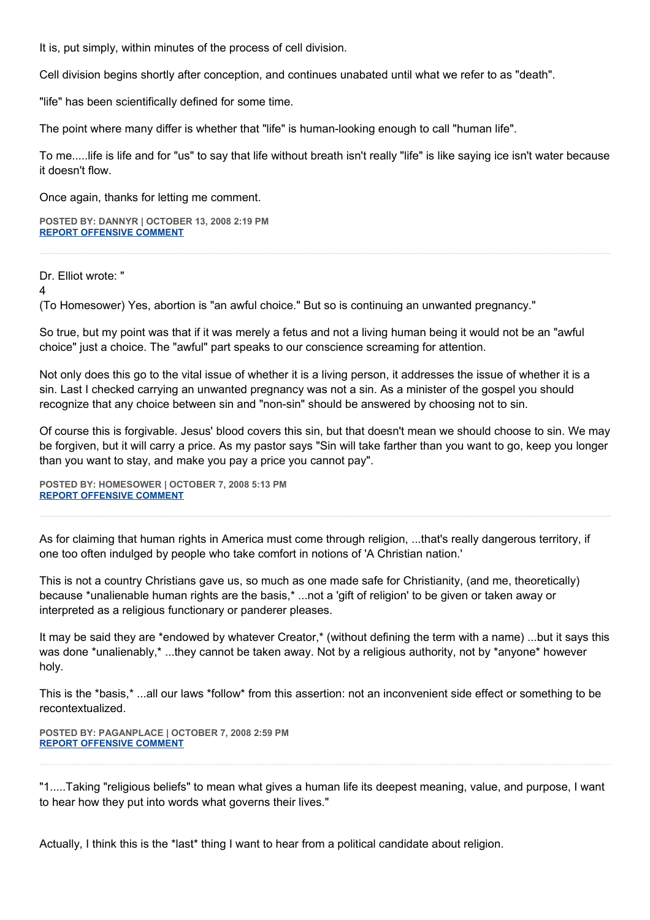It is, put simply, within minutes of the process of cell division.

Cell division begins shortly after conception, and continues unabated until what we refer to as "death".

"life" has been scientifically defined for some time.

The point where many differ is whether that "life" is human-looking enough to call "human life".

To me.....life is life and for "us" to say that life without breath isn't really "life" is like saying ice isn't water because it doesn't flow.

Once again, thanks for letting me comment.

**POSTED BY: DANNYR | OCTOBER 13, 2008 2:19 PM [REPORT OFFENSIVE COMMENT](mailto:blogs@washingtonpost.com?subject=On%20Faith%20Panelists%20Blog%20%20%7C%20%20DannyR%20%20%7C%20%20Palin%20and%20Biden:%20%20Do%20Their%20Religious%20Beliefs%20Matter?%20%20%7C%20%204550821&body=%0D%0D%0D%0D%0D================%0D?__mode=view%26_type=comment%26id=4550821%26blog_id=618)**

Dr. Elliot wrote: "

4

(To Homesower) Yes, abortion is "an awful choice." But so is continuing an unwanted pregnancy."

So true, but my point was that if it was merely a fetus and not a living human being it would not be an "awful choice" just a choice. The "awful" part speaks to our conscience screaming for attention.

Not only does this go to the vital issue of whether it is a living person, it addresses the issue of whether it is a sin. Last I checked carrying an unwanted pregnancy was not a sin. As a minister of the gospel you should recognize that any choice between sin and "non-sin" should be answered by choosing not to sin.

Of course this is forgivable. Jesus' blood covers this sin, but that doesn't mean we should choose to sin. We may be forgiven, but it will carry a price. As my pastor says "Sin will take farther than you want to go, keep you longer than you want to stay, and make you pay a price you cannot pay".

**POSTED BY: HOMESOWER | OCTOBER 7, 2008 5:13 PM [REPORT OFFENSIVE COMMENT](mailto:blogs@washingtonpost.com?subject=On%20Faith%20Panelists%20Blog%20%20%7C%20%20homesower%20%20%7C%20%20Palin%20and%20Biden:%20%20Do%20Their%20Religious%20Beliefs%20Matter?%20%20%7C%20%204547382&body=%0D%0D%0D%0D%0D================%0D?__mode=view%26_type=comment%26id=4547382%26blog_id=618)**

As for claiming that human rights in America must come through religion, ...that's really dangerous territory, if one too often indulged by people who take comfort in notions of 'A Christian nation.'

This is not a country Christians gave us, so much as one made safe for Christianity, (and me, theoretically) because \*unalienable human rights are the basis,\* ...not a 'gift of religion' to be given or taken away or interpreted as a religious functionary or panderer pleases.

It may be said they are \*endowed by whatever Creator,\* (without defining the term with a name) ...but it says this was done \*unalienably,\* ...they cannot be taken away. Not by a religious authority, not by \*anyone\* however holy.

This is the \*basis,\* ...all our laws \*follow\* from this assertion: not an inconvenient side effect or something to be recontextualized.

**POSTED BY: PAGANPLACE | OCTOBER 7, 2008 2:59 PM [REPORT OFFENSIVE COMMENT](mailto:blogs@washingtonpost.com?subject=On%20Faith%20Panelists%20Blog%20%20%7C%20%20Paganplace%20%20%7C%20%20Palin%20and%20Biden:%20%20Do%20Their%20Religious%20Beliefs%20Matter?%20%20%7C%20%204547335&body=%0D%0D%0D%0D%0D================%0D?__mode=view%26_type=comment%26id=4547335%26blog_id=618)**

"1.....Taking "religious beliefs" to mean what gives a human life its deepest meaning, value, and purpose, I want to hear how they put into words what governs their lives."

Actually, I think this is the \*last\* thing I want to hear from a political candidate about religion.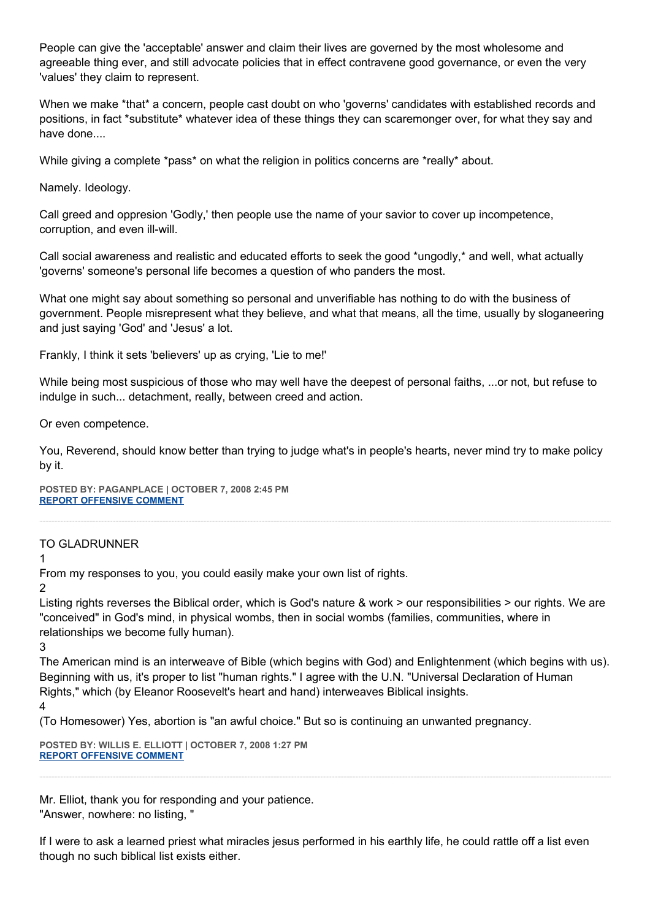People can give the 'acceptable' answer and claim their lives are governed by the most wholesome and agreeable thing ever, and still advocate policies that in effect contravene good governance, or even the very 'values' they claim to represent.

When we make \*that\* a concern, people cast doubt on who 'governs' candidates with established records and positions, in fact \*substitute\* whatever idea of these things they can scaremonger over, for what they say and have done....

While giving a complete \*pass\* on what the religion in politics concerns are \*really\* about.

Namely. Ideology.

Call greed and oppresion 'Godly,' then people use the name of your savior to cover up incompetence, corruption, and even ill-will.

Call social awareness and realistic and educated efforts to seek the good \*ungodly,\* and well, what actually 'governs' someone's personal life becomes a question of who panders the most.

What one might say about something so personal and unverifiable has nothing to do with the business of government. People misrepresent what they believe, and what that means, all the time, usually by sloganeering and just saying 'God' and 'Jesus' a lot.

Frankly, I think it sets 'believers' up as crying, 'Lie to me!'

While being most suspicious of those who may well have the deepest of personal faiths, ...or not, but refuse to indulge in such... detachment, really, between creed and action.

Or even competence.

You, Reverend, should know better than trying to judge what's in people's hearts, never mind try to make policy by it.

**POSTED BY: PAGANPLACE | OCTOBER 7, 2008 2:45 PM [REPORT OFFENSIVE COMMENT](mailto:blogs@washingtonpost.com?subject=On%20Faith%20Panelists%20Blog%20%20%7C%20%20Paganplace%20%20%7C%20%20Palin%20and%20Biden:%20%20Do%20Their%20Religious%20Beliefs%20Matter?%20%20%7C%20%204547330&body=%0D%0D%0D%0D%0D================%0D?__mode=view%26_type=comment%26id=4547330%26blog_id=618)**

# TO GLADRUNNER

1

From my responses to you, you could easily make your own list of rights.

2

Listing rights reverses the Biblical order, which is God's nature & work > our responsibilities > our rights. We are "conceived" in God's mind, in physical wombs, then in social wombs (families, communities, where in relationships we become fully human).

3

The American mind is an interweave of Bible (which begins with God) and Enlightenment (which begins with us). Beginning with us, it's proper to list "human rights." I agree with the U.N. "Universal Declaration of Human Rights," which (by Eleanor Roosevelt's heart and hand) interweaves Biblical insights.

4

(To Homesower) Yes, abortion is "an awful choice." But so is continuing an unwanted pregnancy.

**POSTED BY: WILLIS E. ELLIOTT | OCTOBER 7, 2008 1:27 PM [REPORT OFFENSIVE COMMENT](mailto:blogs@washingtonpost.com?subject=On%20Faith%20Panelists%20Blog%20%20%7C%20%20Willis%20E.%20Elliott%20%20%7C%20%20Palin%20and%20Biden:%20%20Do%20Their%20Religious%20Beliefs%20Matter?%20%20%7C%20%204547295&body=%0D%0D%0D%0D%0D================%0D?__mode=view%26_type=comment%26id=4547295%26blog_id=618)**

Mr. Elliot, thank you for responding and your patience. "Answer, nowhere: no listing, "

If I were to ask a learned priest what miracles jesus performed in his earthly life, he could rattle off a list even though no such biblical list exists either.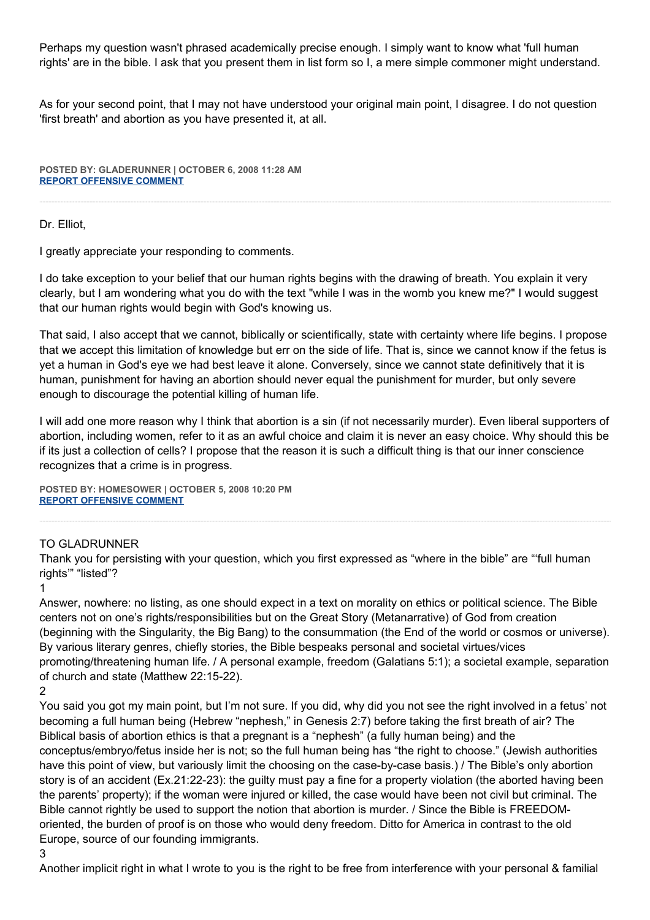Perhaps my question wasn't phrased academically precise enough. I simply want to know what 'full human rights' are in the bible. I ask that you present them in list form so I, a mere simple commoner might understand.

As for your second point, that I may not have understood your original main point, I disagree. I do not question 'first breath' and abortion as you have presented it, at all.

**POSTED BY: GLADERUNNER | OCTOBER 6, 2008 11:28 AM [REPORT OFFENSIVE COMMENT](mailto:blogs@washingtonpost.com?subject=On%20Faith%20Panelists%20Blog%20%20%7C%20%20gladerunner%20%20%7C%20%20Palin%20and%20Biden:%20%20Do%20Their%20Religious%20Beliefs%20Matter?%20%20%7C%20%204545734&body=%0D%0D%0D%0D%0D================%0D?__mode=view%26_type=comment%26id=4545734%26blog_id=618)**

Dr. Elliot,

I greatly appreciate your responding to comments.

I do take exception to your belief that our human rights begins with the drawing of breath. You explain it very clearly, but I am wondering what you do with the text "while I was in the womb you knew me?" I would suggest that our human rights would begin with God's knowing us.

That said, I also accept that we cannot, biblically or scientifically, state with certainty where life begins. I propose that we accept this limitation of knowledge but err on the side of life. That is, since we cannot know if the fetus is yet a human in God's eye we had best leave it alone. Conversely, since we cannot state definitively that it is human, punishment for having an abortion should never equal the punishment for murder, but only severe enough to discourage the potential killing of human life.

I will add one more reason why I think that abortion is a sin (if not necessarily murder). Even liberal supporters of abortion, including women, refer to it as an awful choice and claim it is never an easy choice. Why should this be if its just a collection of cells? I propose that the reason it is such a difficult thing is that our inner conscience recognizes that a crime is in progress.

**POSTED BY: HOMESOWER | OCTOBER 5, 2008 10:20 PM [REPORT OFFENSIVE COMMENT](mailto:blogs@washingtonpost.com?subject=On%20Faith%20Panelists%20Blog%20%20%7C%20%20homesower%20%20%7C%20%20Palin%20and%20Biden:%20%20Do%20Their%20Religious%20Beliefs%20Matter?%20%20%7C%20%204545599&body=%0D%0D%0D%0D%0D================%0D?__mode=view%26_type=comment%26id=4545599%26blog_id=618)**

# TO GLADRUNNER

Thank you for persisting with your question, which you first expressed as "where in the bible" are "'full human rights'" "listed"?

1

Answer, nowhere: no listing, as one should expect in a text on morality on ethics or political science. The Bible centers not on one's rights/responsibilities but on the Great Story (Metanarrative) of God from creation (beginning with the Singularity, the Big Bang) to the consummation (the End of the world or cosmos or universe). By various literary genres, chiefly stories, the Bible bespeaks personal and societal virtues/vices promoting/threatening human life. / A personal example, freedom (Galatians 5:1); a societal example, separation of church and state (Matthew 22:15-22).

 $\mathfrak{p}$ 

You said you got my main point, but I'm not sure. If you did, why did you not see the right involved in a fetus' not becoming a full human being (Hebrew "nephesh," in Genesis 2:7) before taking the first breath of air? The Biblical basis of abortion ethics is that a pregnant is a "nephesh" (a fully human being) and the conceptus/embryo/fetus inside her is not; so the full human being has "the right to choose." (Jewish authorities have this point of view, but variously limit the choosing on the case-by-case basis.) / The Bible's only abortion story is of an accident (Ex.21:22-23): the guilty must pay a fine for a property violation (the aborted having been the parents' property); if the woman were injured or killed, the case would have been not civil but criminal. The Bible cannot rightly be used to support the notion that abortion is murder. / Since the Bible is FREEDOMoriented, the burden of proof is on those who would deny freedom. Ditto for America in contrast to the old Europe, source of our founding immigrants.

# 3

Another implicit right in what I wrote to you is the right to be free from interference with your personal & familial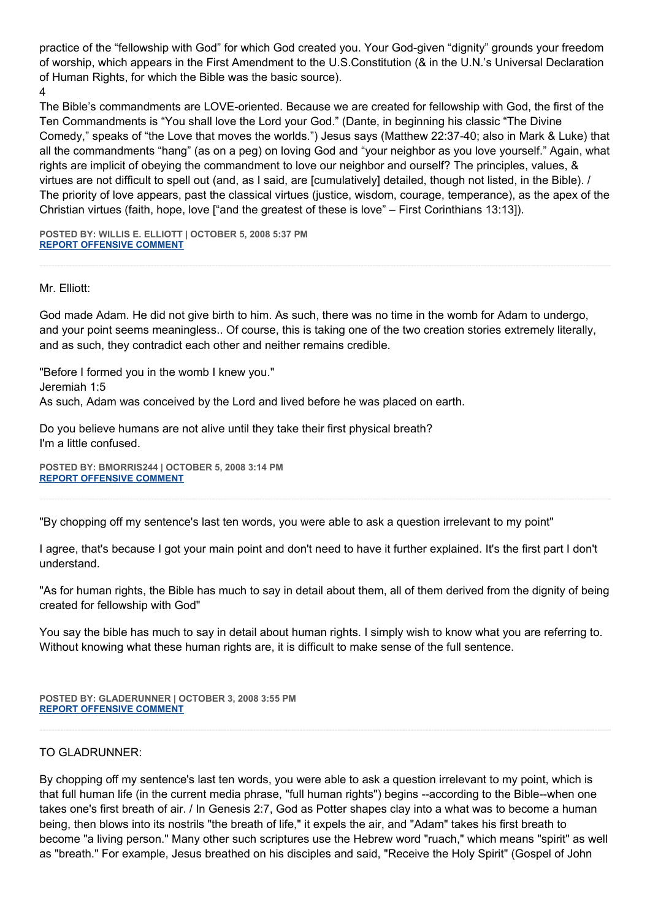practice of the "fellowship with God" for which God created you. Your God-given "dignity" grounds your freedom of worship, which appears in the First Amendment to the U.S.Constitution (& in the U.N.'s Universal Declaration of Human Rights, for which the Bible was the basic source). 4

The Bible's commandments are LOVE-oriented. Because we are created for fellowship with God, the first of the Ten Commandments is "You shall love the Lord your God." (Dante, in beginning his classic "The Divine Comedy," speaks of "the Love that moves the worlds.") Jesus says (Matthew 22:37-40; also in Mark & Luke) that all the commandments "hang" (as on a peg) on loving God and "your neighbor as you love yourself." Again, what rights are implicit of obeying the commandment to love our neighbor and ourself? The principles, values, & virtues are not difficult to spell out (and, as I said, are [cumulatively] detailed, though not listed, in the Bible). / The priority of love appears, past the classical virtues (justice, wisdom, courage, temperance), as the apex of the Christian virtues (faith, hope, love ["and the greatest of these is love" – First Corinthians 13:13]).

**POSTED BY: WILLIS E. ELLIOTT | OCTOBER 5, 2008 5:37 PM [REPORT OFFENSIVE COMMENT](mailto:blogs@washingtonpost.com?subject=On%20Faith%20Panelists%20Blog%20%20%7C%20%20Willis%20E.%20Elliott%20%20%7C%20%20Palin%20and%20Biden:%20%20Do%20Their%20Religious%20Beliefs%20Matter?%20%20%7C%20%204545490&body=%0D%0D%0D%0D%0D================%0D?__mode=view%26_type=comment%26id=4545490%26blog_id=618)**

# Mr. Elliott:

God made Adam. He did not give birth to him. As such, there was no time in the womb for Adam to undergo, and your point seems meaningless.. Of course, this is taking one of the two creation stories extremely literally, and as such, they contradict each other and neither remains credible.

"Before I formed you in the womb I knew you." Jeremiah 1:5 As such, Adam was conceived by the Lord and lived before he was placed on earth.

Do you believe humans are not alive until they take their first physical breath? I'm a little confused.

**POSTED BY: BMORRIS244 | OCTOBER 5, 2008 3:14 PM [REPORT OFFENSIVE COMMENT](mailto:blogs@washingtonpost.com?subject=On%20Faith%20Panelists%20Blog%20%20%7C%20%20bmorris244%20%20%7C%20%20Palin%20and%20Biden:%20%20Do%20Their%20Religious%20Beliefs%20Matter?%20%20%7C%20%204545460&body=%0D%0D%0D%0D%0D================%0D?__mode=view%26_type=comment%26id=4545460%26blog_id=618)**

"By chopping off my sentence's last ten words, you were able to ask a question irrelevant to my point"

I agree, that's because I got your main point and don't need to have it further explained. It's the first part I don't understand.

"As for human rights, the Bible has much to say in detail about them, all of them derived from the dignity of being created for fellowship with God"

You say the bible has much to say in detail about human rights. I simply wish to know what you are referring to. Without knowing what these human rights are, it is difficult to make sense of the full sentence.

**POSTED BY: GLADERUNNER | OCTOBER 3, 2008 3:55 PM [REPORT OFFENSIVE COMMENT](mailto:blogs@washingtonpost.com?subject=On%20Faith%20Panelists%20Blog%20%20%7C%20%20gladerunner%20%20%7C%20%20Palin%20and%20Biden:%20%20Do%20Their%20Religious%20Beliefs%20Matter?%20%20%7C%20%204545055&body=%0D%0D%0D%0D%0D================%0D?__mode=view%26_type=comment%26id=4545055%26blog_id=618)**

# TO GLADRUNNER:

By chopping off my sentence's last ten words, you were able to ask a question irrelevant to my point, which is that full human life (in the current media phrase, "full human rights") begins --according to the Bible--when one takes one's first breath of air. / In Genesis 2:7, God as Potter shapes clay into a what was to become a human being, then blows into its nostrils "the breath of life," it expels the air, and "Adam" takes his first breath to become "a living person." Many other such scriptures use the Hebrew word "ruach," which means "spirit" as well as "breath." For example, Jesus breathed on his disciples and said, "Receive the Holy Spirit" (Gospel of John